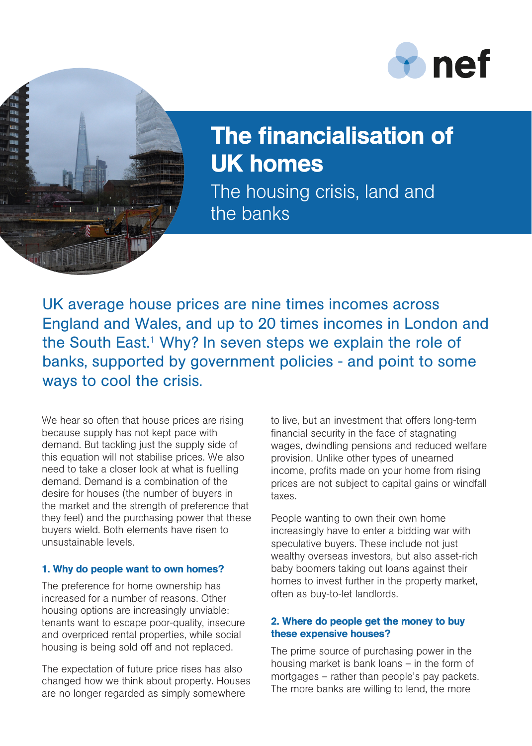



# The financialisation of UK homes

The housing crisis, land and the banks

UK average house prices are nine times incomes across England and Wales, and up to 20 times incomes in London and the South East.<sup>1</sup> Why? In seven steps we explain the role of banks, supported by government policies - and point to some ways to cool the crisis.

We hear so often that house prices are rising because supply has not kept pace with demand. But tackling just the supply side of this equation will not stabilise prices. We also need to take a closer look at what is fuelling demand. Demand is a combination of the desire for houses (the number of buyers in the market and the strength of preference that they feel) and the purchasing power that these buyers wield. Both elements have risen to unsustainable levels.

# 1. Why do people want to own homes?

The preference for home ownership has increased for a number of reasons. Other housing options are increasingly unviable: tenants want to escape poor-quality, insecure and overpriced rental properties, while social housing is being sold off and not replaced.

The expectation of future price rises has also changed how we think about property. Houses are no longer regarded as simply somewhere

to live, but an investment that offers long-term financial security in the face of stagnating wages, dwindling pensions and reduced welfare provision. Unlike other types of unearned income, profits made on your home from rising prices are not subject to capital gains or windfall taxes.

People wanting to own their own home increasingly have to enter a bidding war with speculative buyers. These include not just wealthy overseas investors, but also asset-rich baby boomers taking out loans against their homes to invest further in the property market, often as buy-to-let landlords.

# 2. Where do people get the money to buy these expensive houses?

The prime source of purchasing power in the housing market is bank loans – in the form of mortgages – rather than people's pay packets. The more banks are willing to lend, the more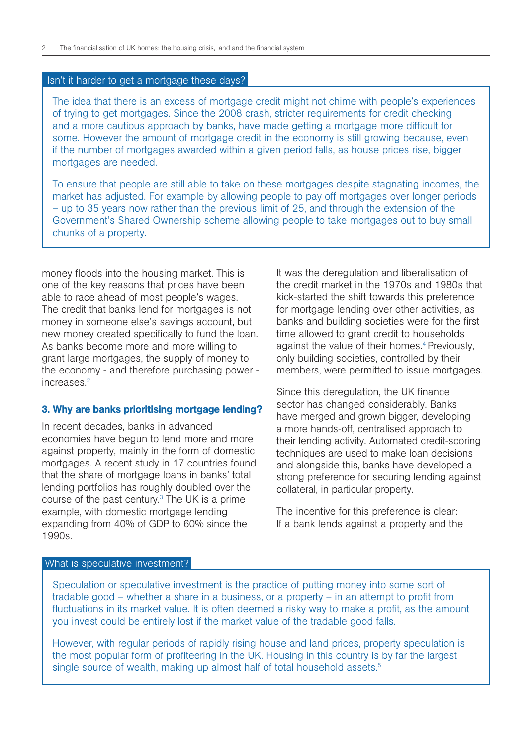#### Isn't it harder to get a mortgage these days?

The idea that there is an excess of mortgage credit might not chime with people's experiences of trying to get mortgages. Since the 2008 crash, stricter requirements for credit checking and a more cautious approach by banks, have made getting a mortgage more difficult for some. However the amount of mortgage credit in the economy is still growing because, even if the number of mortgages awarded within a given period falls, as house prices rise, bigger mortgages are needed.

To ensure that people are still able to take on these mortgages despite stagnating incomes, the market has adjusted. For example by allowing people to pay off mortgages over longer periods – up to 35 years now rather than the previous limit of 25, and through the extension of the Government's Shared Ownership scheme allowing people to take mortgages out to buy small chunks of a property.

money floods into the housing market. This is one of the key reasons that prices have been able to race ahead of most people's wages. The credit that banks lend for mortgages is not money in someone else's savings account, but new money created specifically to fund the loan. As banks become more and more willing to grant large mortgages, the supply of money to the economy - and therefore purchasing power increases.2

## 3. Why are banks prioritising mortgage lending?

In recent decades, banks in advanced economies have begun to lend more and more against property, mainly in the form of domestic mortgages. A recent study in 17 countries found that the share of mortgage loans in banks' total lending portfolios has roughly doubled over the course of the past century.3 The UK is a prime example, with domestic mortgage lending expanding from 40% of GDP to 60% since the 1990s.

It was the deregulation and liberalisation of the credit market in the 1970s and 1980s that kick-started the shift towards this preference for mortgage lending over other activities, as banks and building societies were for the first time allowed to grant credit to households against the value of their homes.<sup>4</sup> Previously, only building societies, controlled by their members, were permitted to issue mortgages.

Since this deregulation, the UK finance sector has changed considerably. Banks have merged and grown bigger, developing a more hands-off, centralised approach to their lending activity. Automated credit-scoring techniques are used to make loan decisions and alongside this, banks have developed a strong preference for securing lending against collateral, in particular property.

The incentive for this preference is clear: If a bank lends against a property and the

## What is speculative investment?

Speculation or speculative investment is the practice of putting money into some sort of tradable good – whether a share in a business, or a property – in an attempt to profit from fluctuations in its market value. It is often deemed a risky way to make a profit, as the amount you invest could be entirely lost if the market value of the tradable good falls.

However, with regular periods of rapidly rising house and land prices, property speculation is the most popular form of profiteering in the UK. Housing in this country is by far the largest single source of wealth, making up almost half of total household assets.<sup>5</sup>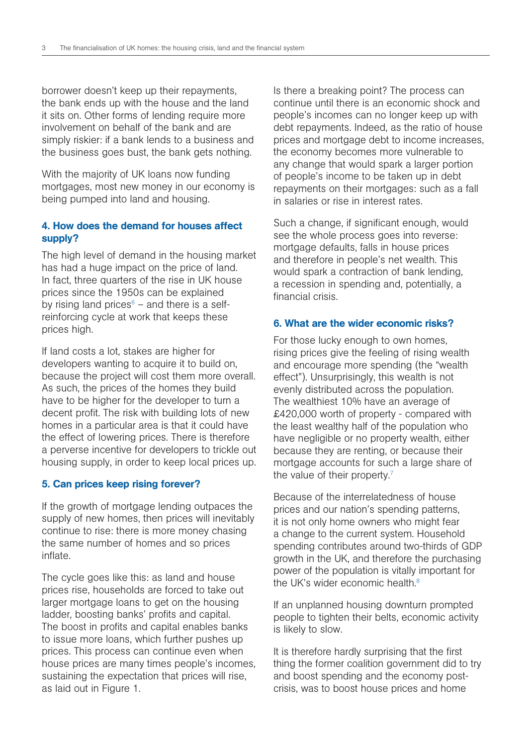borrower doesn't keep up their repayments, the bank ends up with the house and the land it sits on. Other forms of lending require more involvement on behalf of the bank and are simply riskier: if a bank lends to a business and the business goes bust, the bank gets nothing.

With the majority of UK loans now funding mortgages, most new money in our economy is being pumped into land and housing.

# 4. How does the demand for houses affect supply?

The high level of demand in the housing market has had a huge impact on the price of land. In fact, three quarters of the rise in UK house prices since the 1950s can be explained by rising land prices $6 -$  and there is a selfreinforcing cycle at work that keeps these prices high.

If land costs a lot, stakes are higher for developers wanting to acquire it to build on, because the project will cost them more overall. As such, the prices of the homes they build have to be higher for the developer to turn a decent profit. The risk with building lots of new homes in a particular area is that it could have the effect of lowering prices. There is therefore a perverse incentive for developers to trickle out housing supply, in order to keep local prices up.

# 5. Can prices keep rising forever?

If the growth of mortgage lending outpaces the supply of new homes, then prices will inevitably continue to rise: there is more money chasing the same number of homes and so prices inflate.

The cycle goes like this: as land and house prices rise, households are forced to take out larger mortgage loans to get on the housing ladder, boosting banks' profits and capital. The boost in profits and capital enables banks to issue more loans, which further pushes up prices. This process can continue even when house prices are many times people's incomes, sustaining the expectation that prices will rise, as laid out in Figure 1.

Is there a breaking point? The process can continue until there is an economic shock and people's incomes can no longer keep up with debt repayments. Indeed, as the ratio of house prices and mortgage debt to income increases, the economy becomes more vulnerable to any change that would spark a larger portion of people's income to be taken up in debt repayments on their mortgages: such as a fall in salaries or rise in interest rates.

Such a change, if significant enough, would see the whole process goes into reverse: mortgage defaults, falls in house prices and therefore in people's net wealth. This would spark a contraction of bank lending, a recession in spending and, potentially, a financial crisis.

## 6. What are the wider economic risks?

For those lucky enough to own homes, rising prices give the feeling of rising wealth and encourage more spending (the "wealth effect"). Unsurprisingly, this wealth is not evenly distributed across the population. The wealthiest 10% have an average of £420,000 worth of property - compared with the least wealthy half of the population who have negligible or no property wealth, either because they are renting, or because their mortgage accounts for such a large share of the value of their property.<sup>7</sup>

Because of the interrelatedness of house prices and our nation's spending patterns, it is not only home owners who might fear a change to the current system. Household spending contributes around two-thirds of GDP growth in the UK, and therefore the purchasing power of the population is vitally important for the UK's wider economic health.<sup>8</sup>

If an unplanned housing downturn prompted people to tighten their belts, economic activity is likely to slow.

It is therefore hardly surprising that the first thing the former coalition government did to try and boost spending and the economy postcrisis, was to boost house prices and home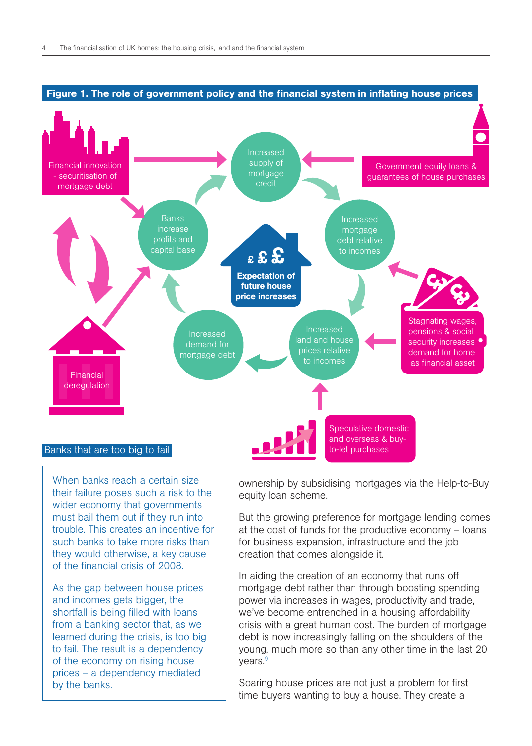

When banks reach a certain size their failure poses such a risk to the wider economy that governments must bail them out if they run into trouble. This creates an incentive for such banks to take more risks than they would otherwise, a key cause of the financial crisis of 2008.

As the gap between house prices and incomes gets bigger, the shortfall is being filled with loans from a banking sector that, as we learned during the crisis, is too big to fail. The result is a dependency of the economy on rising house prices – a dependency mediated by the banks.

ownership by subsidising mortgages via the Help-to-Buy equity loan scheme.

But the growing preference for mortgage lending comes at the cost of funds for the productive economy – loans for business expansion, infrastructure and the job creation that comes alongside it.

In aiding the creation of an economy that runs off mortgage debt rather than through boosting spending power via increases in wages, productivity and trade, we've become entrenched in a housing affordability crisis with a great human cost. The burden of mortgage debt is now increasingly falling on the shoulders of the young, much more so than any other time in the last 20 years.9

Soaring house prices are not just a problem for first time buyers wanting to buy a house. They create a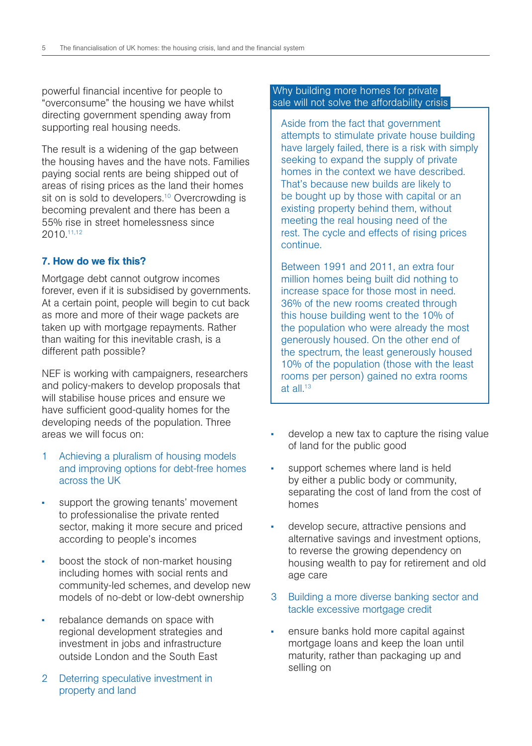powerful financial incentive for people to "overconsume" the housing we have whilst directing government spending away from supporting real housing needs.

The result is a widening of the gap between the housing haves and the have nots. Families paying social rents are being shipped out of areas of rising prices as the land their homes sit on is sold to developers.<sup>10</sup> Overcrowding is becoming prevalent and there has been a 55% rise in street homelessness since 2010.11,12

# 7. How do we fix this?

Mortgage debt cannot outgrow incomes forever, even if it is subsidised by governments. At a certain point, people will begin to cut back as more and more of their wage packets are taken up with mortgage repayments. Rather than waiting for this inevitable crash, is a different path possible?

NEF is working with campaigners, researchers and policy-makers to develop proposals that will stabilise house prices and ensure we have sufficient good-quality homes for the developing needs of the population. Three areas we will focus on:

- 1 Achieving a pluralism of housing models and improving options for debt-free homes across the UK
- support the growing tenants' movement to professionalise the private rented sector, making it more secure and priced according to people's incomes
- boost the stock of non-market housing including homes with social rents and community-led schemes, and develop new models of no-debt or low-debt ownership
- rebalance demands on space with regional development strategies and investment in jobs and infrastructure outside London and the South East
- 2 Deterring speculative investment in property and land

# Why building more homes for private sale will not solve the affordability crisis

Aside from the fact that government attempts to stimulate private house building have largely failed, there is a risk with simply seeking to expand the supply of private homes in the context we have described. That's because new builds are likely to be bought up by those with capital or an existing property behind them, without meeting the real housing need of the rest. The cycle and effects of rising prices continue.

Between 1991 and 2011, an extra four million homes being built did nothing to increase space for those most in need. 36% of the new rooms created through this house building went to the 10% of the population who were already the most generously housed. On the other end of the spectrum, the least generously housed 10% of the population (those with the least rooms per person) gained no extra rooms at all.13

- develop a new tax to capture the rising value of land for the public good
- support schemes where land is held by either a public body or community, separating the cost of land from the cost of homes
- develop secure, attractive pensions and alternative savings and investment options, to reverse the growing dependency on housing wealth to pay for retirement and old age care
- 3 Building a more diverse banking sector and tackle excessive mortgage credit
- ensure banks hold more capital against mortgage loans and keep the loan until maturity, rather than packaging up and selling on